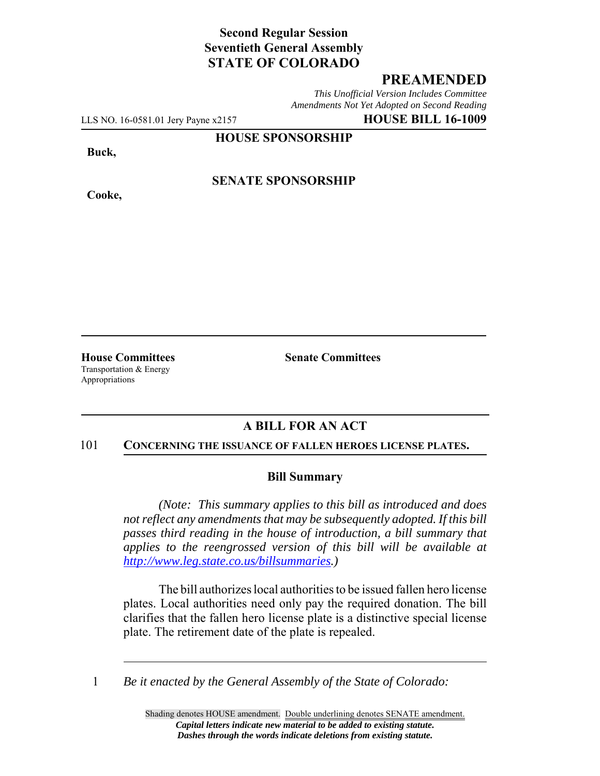# **Second Regular Session Seventieth General Assembly STATE OF COLORADO**

## **PREAMENDED**

*This Unofficial Version Includes Committee Amendments Not Yet Adopted on Second Reading*

LLS NO. 16-0581.01 Jery Payne x2157 **HOUSE BILL 16-1009**

**HOUSE SPONSORSHIP**

**Buck,**

**Cooke,**

**SENATE SPONSORSHIP**

**House Committees Senate Committees** Transportation & Energy Appropriations

## **A BILL FOR AN ACT**

#### 101 **CONCERNING THE ISSUANCE OF FALLEN HEROES LICENSE PLATES.**

### **Bill Summary**

*(Note: This summary applies to this bill as introduced and does not reflect any amendments that may be subsequently adopted. If this bill passes third reading in the house of introduction, a bill summary that applies to the reengrossed version of this bill will be available at http://www.leg.state.co.us/billsummaries.)*

The bill authorizes local authorities to be issued fallen hero license plates. Local authorities need only pay the required donation. The bill clarifies that the fallen hero license plate is a distinctive special license plate. The retirement date of the plate is repealed.

1 *Be it enacted by the General Assembly of the State of Colorado:*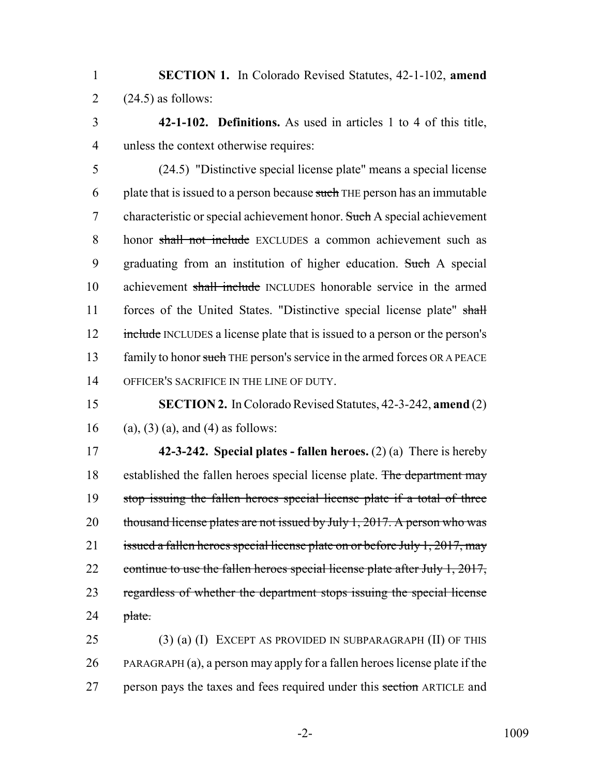1 **SECTION 1.** In Colorado Revised Statutes, 42-1-102, **amend** 2  $(24.5)$  as follows:

3 **42-1-102. Definitions.** As used in articles 1 to 4 of this title, 4 unless the context otherwise requires:

5 (24.5) "Distinctive special license plate" means a special license 6 plate that is issued to a person because such THE person has an immutable 7 characteristic or special achievement honor. Such A special achievement 8 honor shall not include EXCLUDES a common achievement such as 9 graduating from an institution of higher education. Such A special 10 achievement shall include INCLUDES honorable service in the armed 11 forces of the United States. "Distinctive special license plate" shall 12 include INCLUDES a license plate that is issued to a person or the person's 13 family to honor such THE person's service in the armed forces OR A PEACE 14 OFFICER'S SACRIFICE IN THE LINE OF DUTY.

15 **SECTION 2.** In Colorado Revised Statutes, 42-3-242, **amend** (2) 16 (a), (3) (a), and (4) as follows:

17 **42-3-242. Special plates - fallen heroes.** (2) (a) There is hereby 18 established the fallen heroes special license plate. The department may 19 stop issuing the fallen heroes special license plate if a total of three 20 thousand license plates are not issued by July 1, 2017. A person who was 21 issued a fallen heroes special license plate on or before July 1, 2017, may 22 continue to use the fallen heroes special license plate after July 1, 2017, 23 regardless of whether the department stops issuing the special license  $24$  plate.

25 (3) (a) (I) EXCEPT AS PROVIDED IN SUBPARAGRAPH (II) OF THIS 26 PARAGRAPH (a), a person may apply for a fallen heroes license plate if the 27 person pays the taxes and fees required under this section ARTICLE and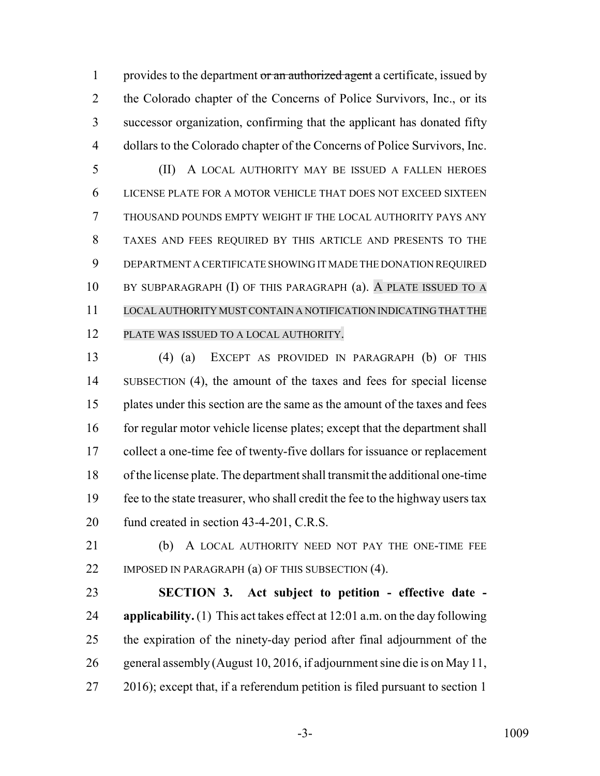1 provides to the department or an authorized agent a certificate, issued by 2 the Colorado chapter of the Concerns of Police Survivors, Inc., or its successor organization, confirming that the applicant has donated fifty dollars to the Colorado chapter of the Concerns of Police Survivors, Inc.

 (II) A LOCAL AUTHORITY MAY BE ISSUED A FALLEN HEROES LICENSE PLATE FOR A MOTOR VEHICLE THAT DOES NOT EXCEED SIXTEEN THOUSAND POUNDS EMPTY WEIGHT IF THE LOCAL AUTHORITY PAYS ANY TAXES AND FEES REQUIRED BY THIS ARTICLE AND PRESENTS TO THE DEPARTMENT A CERTIFICATE SHOWING IT MADE THE DONATION REQUIRED BY SUBPARAGRAPH (I) OF THIS PARAGRAPH (a). A PLATE ISSUED TO A LOCAL AUTHORITY MUST CONTAIN A NOTIFICATION INDICATING THAT THE PLATE WAS ISSUED TO A LOCAL AUTHORITY.

 (4) (a) EXCEPT AS PROVIDED IN PARAGRAPH (b) OF THIS SUBSECTION (4), the amount of the taxes and fees for special license plates under this section are the same as the amount of the taxes and fees 16 for regular motor vehicle license plates; except that the department shall collect a one-time fee of twenty-five dollars for issuance or replacement of the license plate. The department shall transmit the additional one-time fee to the state treasurer, who shall credit the fee to the highway users tax 20 fund created in section 43-4-201, C.R.S.

 (b) A LOCAL AUTHORITY NEED NOT PAY THE ONE-TIME FEE 22 IMPOSED IN PARAGRAPH (a) OF THIS SUBSECTION (4).

 **SECTION 3. Act subject to petition - effective date - applicability.** (1) This act takes effect at 12:01 a.m. on the day following the expiration of the ninety-day period after final adjournment of the general assembly (August 10, 2016, if adjournment sine die is on May 11, 27 2016); except that, if a referendum petition is filed pursuant to section 1